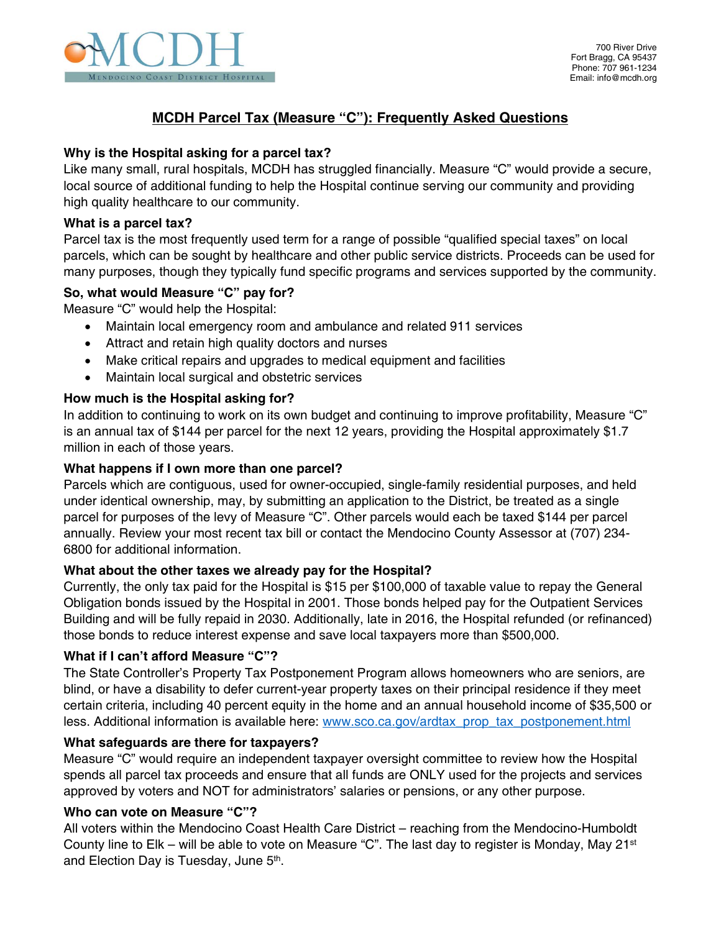

# **MCDH Parcel Tax (Measure "C"): Frequently Asked Questions**

# **Why is the Hospital asking for a parcel tax?**

Like many small, rural hospitals, MCDH has struggled financially. Measure "C" would provide a secure, local source of additional funding to help the Hospital continue serving our community and providing high quality healthcare to our community.

#### **What is a parcel tax?**

Parcel tax is the most frequently used term for a range of possible "qualified special taxes" on local parcels, which can be sought by healthcare and other public service districts. Proceeds can be used for many purposes, though they typically fund specific programs and services supported by the community.

#### **So, what would Measure "C" pay for?**

Measure "C" would help the Hospital:

- Maintain local emergency room and ambulance and related 911 services
- Attract and retain high quality doctors and nurses
- Make critical repairs and upgrades to medical equipment and facilities
- Maintain local surgical and obstetric services

# **How much is the Hospital asking for?**

In addition to continuing to work on its own budget and continuing to improve profitability, Measure "C" is an annual tax of \$144 per parcel for the next 12 years, providing the Hospital approximately \$1.7 million in each of those years.

#### **What happens if I own more than one parcel?**

Parcels which are contiguous, used for owner-occupied, single-family residential purposes, and held under identical ownership, may, by submitting an application to the District, be treated as a single parcel for purposes of the levy of Measure "C". Other parcels would each be taxed \$144 per parcel annually. Review your most recent tax bill or contact the Mendocino County Assessor at (707) 234- 6800 for additional information.

# **What about the other taxes we already pay for the Hospital?**

Currently, the only tax paid for the Hospital is \$15 per \$100,000 of taxable value to repay the General Obligation bonds issued by the Hospital in 2001. Those bonds helped pay for the Outpatient Services Building and will be fully repaid in 2030. Additionally, late in 2016, the Hospital refunded (or refinanced) those bonds to reduce interest expense and save local taxpayers more than \$500,000.

# **What if I can't afford Measure "C"?**

The State Controller's Property Tax Postponement Program allows homeowners who are seniors, are blind, or have a disability to defer current-year property taxes on their principal residence if they meet certain criteria, including 40 percent equity in the home and an annual household income of \$35,500 or less. Additional information is available here: www.sco.ca.gov/ardtax\_prop\_tax\_postponement.html

# **What safeguards are there for taxpayers?**

Measure "C" would require an independent taxpayer oversight committee to review how the Hospital spends all parcel tax proceeds and ensure that all funds are ONLY used for the projects and services approved by voters and NOT for administrators' salaries or pensions, or any other purpose.

# **Who can vote on Measure "C"?**

All voters within the Mendocino Coast Health Care District – reaching from the Mendocino-Humboldt County line to  $E$ lk – will be able to vote on Measure "C". The last day to register is Monday, May 21<sup>st</sup> and Election Day is Tuesday, June 5<sup>th</sup>.